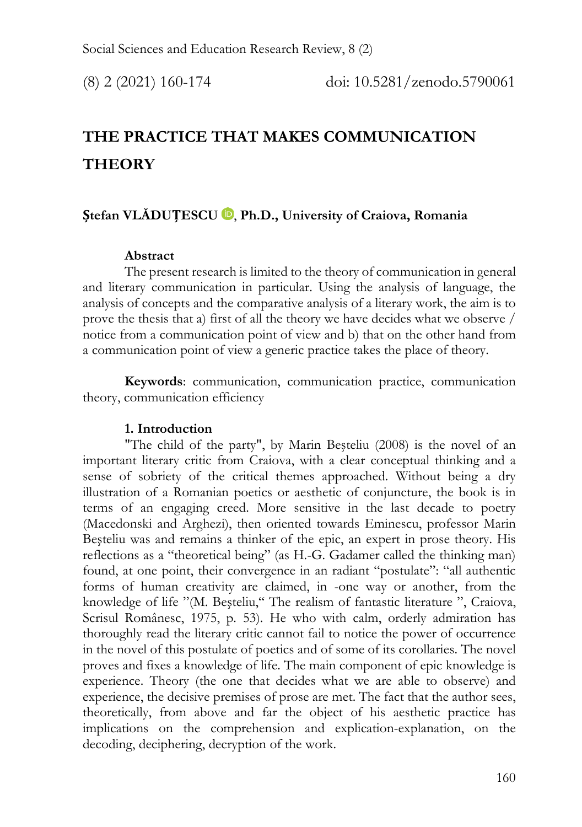# **THE PRACTICE THAT MAKES COMMUNICATION THEORY**

# **Ștefan VLĂDUȚESCU** [,](https://orcid.org/0000-0002-6929-1614) **Ph.D., University of Craiova, Romania**

## **Abstract**

The present research is limited to the theory of communication in general and literary communication in particular. Using the analysis of language, the analysis of concepts and the comparative analysis of a literary work, the aim is to prove the thesis that a) first of all the theory we have decides what we observe / notice from a communication point of view and b) that on the other hand from a communication point of view a generic practice takes the place of theory.

**Keywords**: communication, communication practice, communication theory, communication efficiency

## **1. Introduction**

"The child of the party", by Marin Beşteliu (2008) is the novel of an important literary critic from Craiova, with a clear conceptual thinking and a sense of sobriety of the critical themes approached. Without being a dry illustration of a Romanian poetics or aesthetic of conjuncture, the book is in terms of an engaging creed. More sensitive in the last decade to poetry (Macedonski and Arghezi), then oriented towards Eminescu, professor Marin Beşteliu was and remains a thinker of the epic, an expert in prose theory. His reflections as a "theoretical being" (as H.-G. Gadamer called the thinking man) found, at one point, their convergence in an radiant "postulate": "all authentic forms of human creativity are claimed, in -one way or another, from the knowledge of life "(M. Beşteliu," The realism of fantastic literature ", Craiova, Scrisul Românesc, 1975, p. 53). He who with calm, orderly admiration has thoroughly read the literary critic cannot fail to notice the power of occurrence in the novel of this postulate of poetics and of some of its corollaries. The novel proves and fixes a knowledge of life. The main component of epic knowledge is experience. Theory (the one that decides what we are able to observe) and experience, the decisive premises of prose are met. The fact that the author sees, theoretically, from above and far the object of his aesthetic practice has implications on the comprehension and explication-explanation, on the decoding, deciphering, decryption of the work.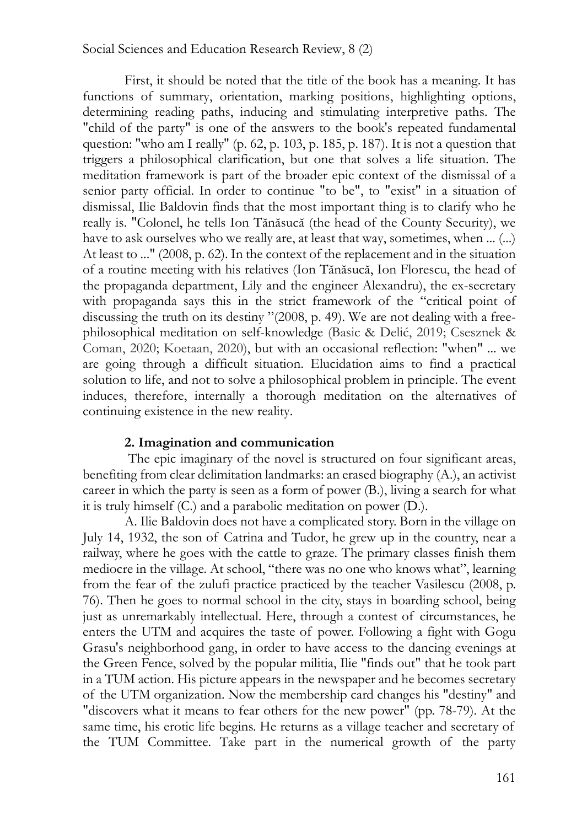#### Social Sciences and Education Research Review, 8 (2)

First, it should be noted that the title of the book has a meaning. It has functions of summary, orientation, marking positions, highlighting options, determining reading paths, inducing and stimulating interpretive paths. The "child of the party" is one of the answers to the book's repeated fundamental question: "who am I really" (p. 62, p. 103, p. 185, p. 187). It is not a question that triggers a philosophical clarification, but one that solves a life situation. The meditation framework is part of the broader epic context of the dismissal of a senior party official. In order to continue "to be", to "exist" in a situation of dismissal, Ilie Baldovin finds that the most important thing is to clarify who he really is. "Colonel, he tells Ion Tănăsucă (the head of the County Security), we have to ask ourselves who we really are, at least that way, sometimes, when ... (...) At least to ..." (2008, p. 62). In the context of the replacement and in the situation of a routine meeting with his relatives (Ion Tănăsucă, Ion Florescu, the head of the propaganda department, Lily and the engineer Alexandru), the ex-secretary with propaganda says this in the strict framework of the "critical point of discussing the truth on its destiny "(2008, p. 49). We are not dealing with a freephilosophical meditation on self-knowledge (Basic & Delić, 2019; Csesznek & Coman, 2020; Koetaan, 2020), but with an occasional reflection: "when" ... we are going through a difficult situation. Elucidation aims to find a practical solution to life, and not to solve a philosophical problem in principle. The event induces, therefore, internally a thorough meditation on the alternatives of continuing existence in the new reality.

#### **2. Imagination and communication**

The epic imaginary of the novel is structured on four significant areas, benefiting from clear delimitation landmarks: an erased biography (A.), an activist career in which the party is seen as a form of power (B.), living a search for what it is truly himself (C.) and a parabolic meditation on power (D.).

A. Ilie Baldovin does not have a complicated story. Born in the village on July 14, 1932, the son of Catrina and Tudor, he grew up in the country, near a railway, where he goes with the cattle to graze. The primary classes finish them mediocre in the village. At school, "there was no one who knows what", learning from the fear of the zulufi practice practiced by the teacher Vasilescu (2008, p. 76). Then he goes to normal school in the city, stays in boarding school, being just as unremarkably intellectual. Here, through a contest of circumstances, he enters the UTM and acquires the taste of power. Following a fight with Gogu Grasu's neighborhood gang, in order to have access to the dancing evenings at the Green Fence, solved by the popular militia, Ilie "finds out" that he took part in a TUM action. His picture appears in the newspaper and he becomes secretary of the UTM organization. Now the membership card changes his "destiny" and "discovers what it means to fear others for the new power" (pp. 78-79). At the same time, his erotic life begins. He returns as a village teacher and secretary of the TUM Committee. Take part in the numerical growth of the party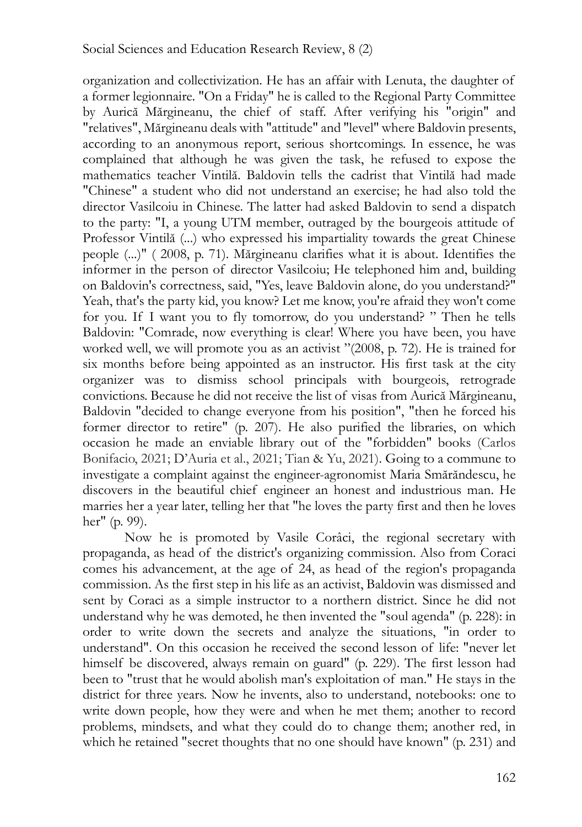organization and collectivization. He has an affair with Lenuta, the daughter of a former legionnaire. "On a Friday" he is called to the Regional Party Committee by Aurică Mărgineanu, the chief of staff. After verifying his "origin" and "relatives", Mărgineanu deals with "attitude" and "level" where Baldovin presents, according to an anonymous report, serious shortcomings. In essence, he was complained that although he was given the task, he refused to expose the mathematics teacher Vintilă. Baldovin tells the cadrist that Vintilă had made "Chinese" a student who did not understand an exercise; he had also told the director Vasilcoiu in Chinese. The latter had asked Baldovin to send a dispatch to the party: "I, a young UTM member, outraged by the bourgeois attitude of Professor Vintilă (...) who expressed his impartiality towards the great Chinese people (...)" ( 2008, p. 71). Mărgineanu clarifies what it is about. Identifies the informer in the person of director Vasilcoiu; He telephoned him and, building on Baldovin's correctness, said, "Yes, leave Baldovin alone, do you understand?" Yeah, that's the party kid, you know? Let me know, you're afraid they won't come for you. If I want you to fly tomorrow, do you understand? " Then he tells Baldovin: "Comrade, now everything is clear! Where you have been, you have worked well, we will promote you as an activist "(2008, p. 72). He is trained for six months before being appointed as an instructor. His first task at the city organizer was to dismiss school principals with bourgeois, retrograde convictions. Because he did not receive the list of visas from Aurică Mărgineanu, Baldovin "decided to change everyone from his position", "then he forced his former director to retire" (p. 207). He also purified the libraries, on which occasion he made an enviable library out of the "forbidden" books (Carlos Bonifacio, 2021; D'Auria et al., 2021; Tian & Yu, 2021). Going to a commune to investigate a complaint against the engineer-agronomist Maria Smărăndescu, he discovers in the beautiful chief engineer an honest and industrious man. He marries her a year later, telling her that "he loves the party first and then he loves her" (p. 99).

Now he is promoted by Vasile Corâci, the regional secretary with propaganda, as head of the district's organizing commission. Also from Coraci comes his advancement, at the age of 24, as head of the region's propaganda commission. As the first step in his life as an activist, Baldovin was dismissed and sent by Coraci as a simple instructor to a northern district. Since he did not understand why he was demoted, he then invented the "soul agenda" (p. 228): in order to write down the secrets and analyze the situations, "in order to understand". On this occasion he received the second lesson of life: "never let himself be discovered, always remain on guard" (p. 229). The first lesson had been to "trust that he would abolish man's exploitation of man." He stays in the district for three years. Now he invents, also to understand, notebooks: one to write down people, how they were and when he met them; another to record problems, mindsets, and what they could do to change them; another red, in which he retained "secret thoughts that no one should have known" (p. 231) and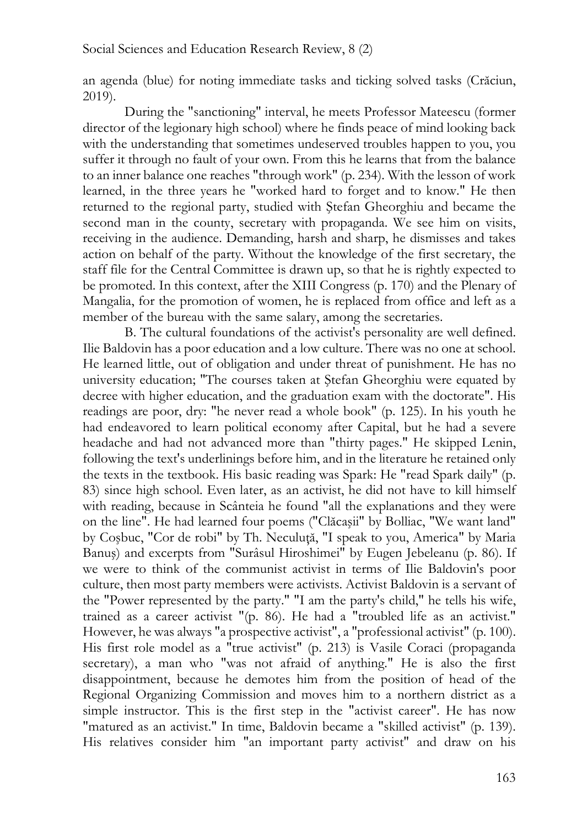an agenda (blue) for noting immediate tasks and ticking solved tasks (Crăciun, 2019).

During the "sanctioning" interval, he meets Professor Mateescu (former director of the legionary high school) where he finds peace of mind looking back with the understanding that sometimes undeserved troubles happen to you, you suffer it through no fault of your own. From this he learns that from the balance to an inner balance one reaches "through work" (p. 234). With the lesson of work learned, in the three years he "worked hard to forget and to know." He then returned to the regional party, studied with Ştefan Gheorghiu and became the second man in the county, secretary with propaganda. We see him on visits, receiving in the audience. Demanding, harsh and sharp, he dismisses and takes action on behalf of the party. Without the knowledge of the first secretary, the staff file for the Central Committee is drawn up, so that he is rightly expected to be promoted. In this context, after the XIII Congress (p. 170) and the Plenary of Mangalia, for the promotion of women, he is replaced from office and left as a member of the bureau with the same salary, among the secretaries.

B. The cultural foundations of the activist's personality are well defined. Ilie Baldovin has a poor education and a low culture. There was no one at school. He learned little, out of obligation and under threat of punishment. He has no university education; "The courses taken at Ştefan Gheorghiu were equated by decree with higher education, and the graduation exam with the doctorate". His readings are poor, dry: "he never read a whole book" (p. 125). In his youth he had endeavored to learn political economy after Capital, but he had a severe headache and had not advanced more than "thirty pages." He skipped Lenin, following the text's underlinings before him, and in the literature he retained only the texts in the textbook. His basic reading was Spark: He "read Spark daily" (p. 83) since high school. Even later, as an activist, he did not have to kill himself with reading, because in Scânteia he found "all the explanations and they were on the line". He had learned four poems ("Clăcaşii" by Bolliac, "We want land" by Coşbuc, "Cor de robi" by Th. Neculuţă, "I speak to you, America" by Maria Banuş) and excerpts from "Surâsul Hiroshimei" by Eugen Jebeleanu (p. 86). If we were to think of the communist activist in terms of Ilie Baldovin's poor culture, then most party members were activists. Activist Baldovin is a servant of the "Power represented by the party." "I am the party's child," he tells his wife, trained as a career activist "(p. 86). He had a "troubled life as an activist." However, he was always "a prospective activist", a "professional activist" (p. 100). His first role model as a "true activist" (p. 213) is Vasile Coraci (propaganda secretary), a man who "was not afraid of anything." He is also the first disappointment, because he demotes him from the position of head of the Regional Organizing Commission and moves him to a northern district as a simple instructor. This is the first step in the "activist career". He has now "matured as an activist." In time, Baldovin became a "skilled activist" (p. 139). His relatives consider him "an important party activist" and draw on his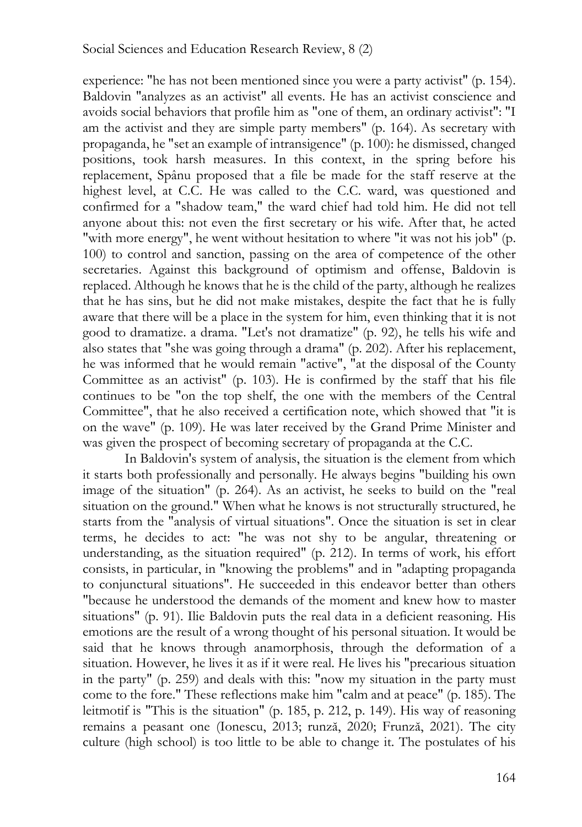experience: "he has not been mentioned since you were a party activist" (p. 154). Baldovin "analyzes as an activist" all events. He has an activist conscience and avoids social behaviors that profile him as "one of them, an ordinary activist": "I am the activist and they are simple party members" (p. 164). As secretary with propaganda, he "set an example of intransigence" (p. 100): he dismissed, changed positions, took harsh measures. In this context, in the spring before his replacement, Spânu proposed that a file be made for the staff reserve at the highest level, at C.C. He was called to the C.C. ward, was questioned and confirmed for a "shadow team," the ward chief had told him. He did not tell anyone about this: not even the first secretary or his wife. After that, he acted "with more energy", he went without hesitation to where "it was not his job" (p. 100) to control and sanction, passing on the area of competence of the other secretaries. Against this background of optimism and offense, Baldovin is replaced. Although he knows that he is the child of the party, although he realizes that he has sins, but he did not make mistakes, despite the fact that he is fully aware that there will be a place in the system for him, even thinking that it is not good to dramatize. a drama. "Let's not dramatize" (p. 92), he tells his wife and also states that "she was going through a drama" (p. 202). After his replacement, he was informed that he would remain "active", "at the disposal of the County Committee as an activist" (p. 103). He is confirmed by the staff that his file continues to be "on the top shelf, the one with the members of the Central Committee", that he also received a certification note, which showed that "it is on the wave" (p. 109). He was later received by the Grand Prime Minister and was given the prospect of becoming secretary of propaganda at the C.C.

In Baldovin's system of analysis, the situation is the element from which it starts both professionally and personally. He always begins "building his own image of the situation" (p. 264). As an activist, he seeks to build on the "real situation on the ground." When what he knows is not structurally structured, he starts from the "analysis of virtual situations". Once the situation is set in clear terms, he decides to act: "he was not shy to be angular, threatening or understanding, as the situation required" (p. 212). In terms of work, his effort consists, in particular, in "knowing the problems" and in "adapting propaganda to conjunctural situations". He succeeded in this endeavor better than others "because he understood the demands of the moment and knew how to master situations" (p. 91). Ilie Baldovin puts the real data in a deficient reasoning. His emotions are the result of a wrong thought of his personal situation. It would be said that he knows through anamorphosis, through the deformation of a situation. However, he lives it as if it were real. He lives his "precarious situation in the party" (p. 259) and deals with this: "now my situation in the party must come to the fore." These reflections make him "calm and at peace" (p. 185). The leitmotif is "This is the situation" (p. 185, p. 212, p. 149). His way of reasoning remains a peasant one (Ionescu, 2013; runză, 2020; Frunză, 2021). The city culture (high school) is too little to be able to change it. The postulates of his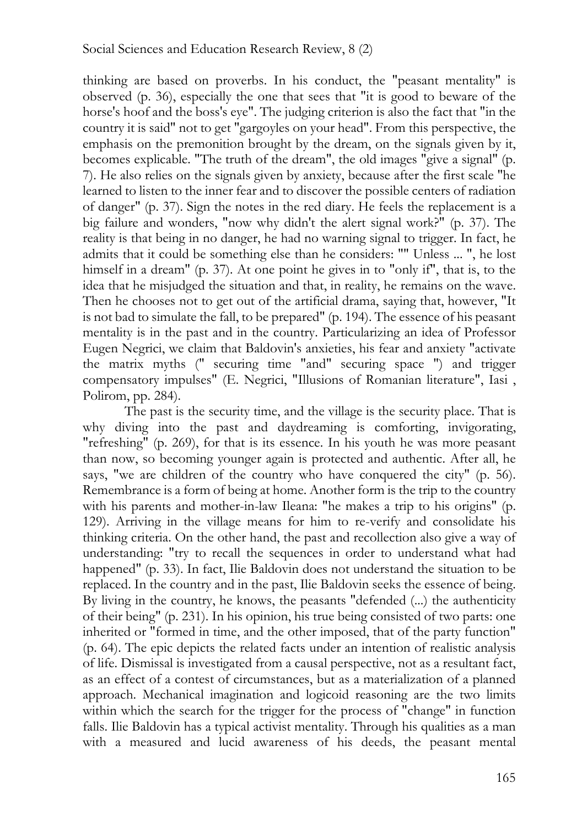thinking are based on proverbs. In his conduct, the "peasant mentality" is observed (p. 36), especially the one that sees that "it is good to beware of the horse's hoof and the boss's eye". The judging criterion is also the fact that "in the country it is said" not to get "gargoyles on your head". From this perspective, the emphasis on the premonition brought by the dream, on the signals given by it, becomes explicable. "The truth of the dream", the old images "give a signal" (p. 7). He also relies on the signals given by anxiety, because after the first scale "he learned to listen to the inner fear and to discover the possible centers of radiation of danger" (p. 37). Sign the notes in the red diary. He feels the replacement is a big failure and wonders, "now why didn't the alert signal work?" (p. 37). The reality is that being in no danger, he had no warning signal to trigger. In fact, he admits that it could be something else than he considers: "" Unless ... ", he lost himself in a dream" (p. 37). At one point he gives in to "only if", that is, to the idea that he misjudged the situation and that, in reality, he remains on the wave. Then he chooses not to get out of the artificial drama, saying that, however, "It is not bad to simulate the fall, to be prepared" (p. 194). The essence of his peasant mentality is in the past and in the country. Particularizing an idea of Professor Eugen Negrici, we claim that Baldovin's anxieties, his fear and anxiety "activate the matrix myths (" securing time "and" securing space ") and trigger compensatory impulses" (E. Negrici, "Illusions of Romanian literature", Iasi , Polirom, pp. 284).

The past is the security time, and the village is the security place. That is why diving into the past and daydreaming is comforting, invigorating, "refreshing" (p. 269), for that is its essence. In his youth he was more peasant than now, so becoming younger again is protected and authentic. After all, he says, "we are children of the country who have conquered the city" (p. 56). Remembrance is a form of being at home. Another form is the trip to the country with his parents and mother-in-law Ileana: "he makes a trip to his origins" (p. 129). Arriving in the village means for him to re-verify and consolidate his thinking criteria. On the other hand, the past and recollection also give a way of understanding: "try to recall the sequences in order to understand what had happened" (p. 33). In fact, Ilie Baldovin does not understand the situation to be replaced. In the country and in the past, Ilie Baldovin seeks the essence of being. By living in the country, he knows, the peasants "defended (...) the authenticity of their being" (p. 231). In his opinion, his true being consisted of two parts: one inherited or "formed in time, and the other imposed, that of the party function" (p. 64). The epic depicts the related facts under an intention of realistic analysis of life. Dismissal is investigated from a causal perspective, not as a resultant fact, as an effect of a contest of circumstances, but as a materialization of a planned approach. Mechanical imagination and logicoid reasoning are the two limits within which the search for the trigger for the process of "change" in function falls. Ilie Baldovin has a typical activist mentality. Through his qualities as a man with a measured and lucid awareness of his deeds, the peasant mental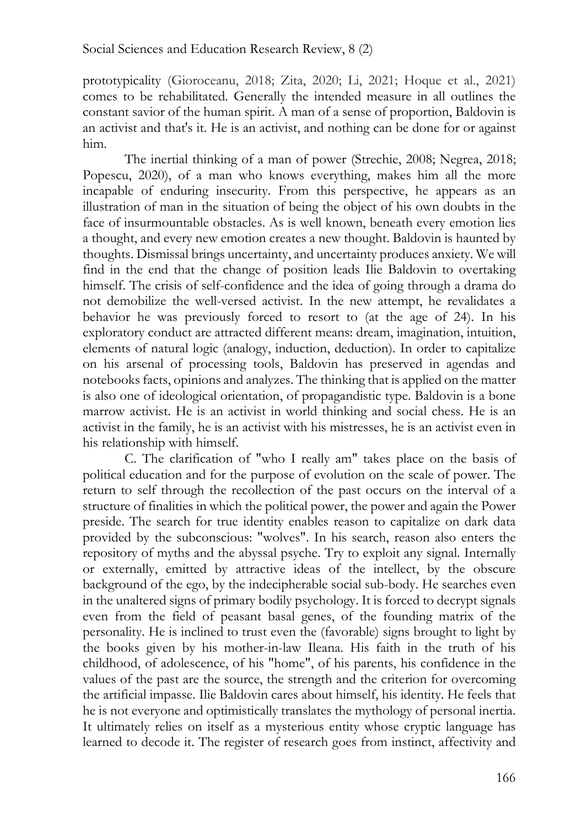prototypicality (Gioroceanu, 2018; Zita, 2020; Li, 2021; Hoque et al., 2021) comes to be rehabilitated. Generally the intended measure in all outlines the constant savior of the human spirit. A man of a sense of proportion, Baldovin is an activist and that's it. He is an activist, and nothing can be done for or against him.

The inertial thinking of a man of power (Strechie, 2008; Negrea, 2018; Popescu, 2020), of a man who knows everything, makes him all the more incapable of enduring insecurity. From this perspective, he appears as an illustration of man in the situation of being the object of his own doubts in the face of insurmountable obstacles. As is well known, beneath every emotion lies a thought, and every new emotion creates a new thought. Baldovin is haunted by thoughts. Dismissal brings uncertainty, and uncertainty produces anxiety. We will find in the end that the change of position leads Ilie Baldovin to overtaking himself. The crisis of self-confidence and the idea of going through a drama do not demobilize the well-versed activist. In the new attempt, he revalidates a behavior he was previously forced to resort to (at the age of 24). In his exploratory conduct are attracted different means: dream, imagination, intuition, elements of natural logic (analogy, induction, deduction). In order to capitalize on his arsenal of processing tools, Baldovin has preserved in agendas and notebooks facts, opinions and analyzes. The thinking that is applied on the matter is also one of ideological orientation, of propagandistic type. Baldovin is a bone marrow activist. He is an activist in world thinking and social chess. He is an activist in the family, he is an activist with his mistresses, he is an activist even in his relationship with himself.

C. The clarification of "who I really am" takes place on the basis of political education and for the purpose of evolution on the scale of power. The return to self through the recollection of the past occurs on the interval of a structure of finalities in which the political power, the power and again the Power preside. The search for true identity enables reason to capitalize on dark data provided by the subconscious: "wolves". In his search, reason also enters the repository of myths and the abyssal psyche. Try to exploit any signal. Internally or externally, emitted by attractive ideas of the intellect, by the obscure background of the ego, by the indecipherable social sub-body. He searches even in the unaltered signs of primary bodily psychology. It is forced to decrypt signals even from the field of peasant basal genes, of the founding matrix of the personality. He is inclined to trust even the (favorable) signs brought to light by the books given by his mother-in-law Ileana. His faith in the truth of his childhood, of adolescence, of his "home", of his parents, his confidence in the values of the past are the source, the strength and the criterion for overcoming the artificial impasse. Ilie Baldovin cares about himself, his identity. He feels that he is not everyone and optimistically translates the mythology of personal inertia. It ultimately relies on itself as a mysterious entity whose cryptic language has learned to decode it. The register of research goes from instinct, affectivity and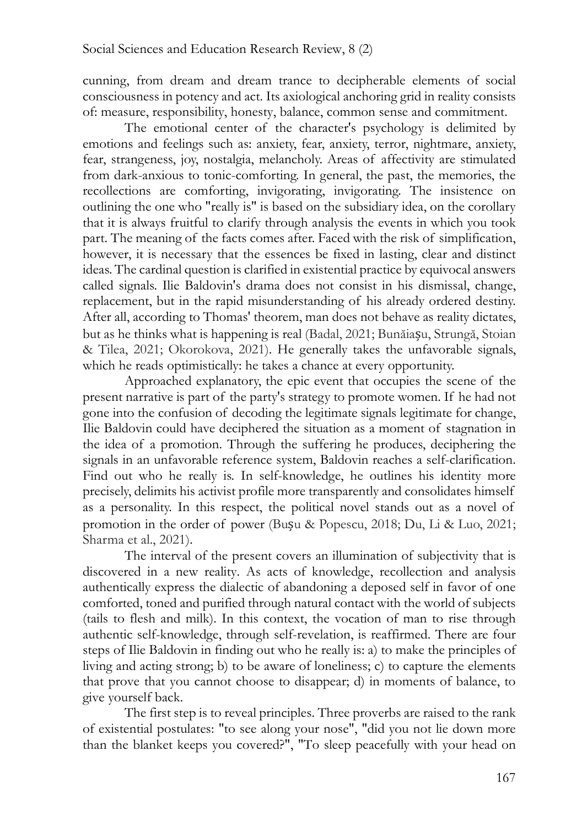cunning, from dream and dream trance to decipherable elements of social consciousness in potency and act. Its axiological anchoring grid in reality consists of: measure, responsibility, honesty, balance, common sense and commitment.

The emotional center of the character's psychology is delimited by emotions and feelings such as: anxiety, fear, anxiety, terror, nightmare, anxiety, fear, strangeness, joy, nostalgia, melancholy. Areas of affectivity are stimulated from dark-anxious to tonic-comforting. In general, the past, the memories, the recollections are comforting, invigorating, invigorating. The insistence on outlining the one who "really is" is based on the subsidiary idea, on the corollary that it is always fruitful to clarify through analysis the events in which you took part. The meaning of the facts comes after. Faced with the risk of simplification, however, it is necessary that the essences be fixed in lasting, clear and distinct ideas. The cardinal question is clarified in existential practice by equivocal answers called signals. Ilie Baldovin's drama does not consist in his dismissal, change, replacement, but in the rapid misunderstanding of his already ordered destiny. After all, according to Thomas' theorem, man does not behave as reality dictates, but as he thinks what is happening is real (Badal, 2021; Bunăiașu, Strungă, Stoian & Tilea, 2021; Okorokova, 2021). He generally takes the unfavorable signals, which he reads optimistically: he takes a chance at every opportunity.

Approached explanatory, the epic event that occupies the scene of the present narrative is part of the party's strategy to promote women. If he had not gone into the confusion of decoding the legitimate signals legitimate for change, Ilie Baldovin could have deciphered the situation as a moment of stagnation in the idea of a promotion. Through the suffering he produces, deciphering the signals in an unfavorable reference system, Baldovin reaches a self-clarification. Find out who he really is. In self-knowledge, he outlines his identity more precisely, delimits his activist profile more transparently and consolidates himself as a personality. In this respect, the political novel stands out as a novel of promotion in the order of power (Bușu & Popescu, 2018; Du, Li & Luo, 2021; Sharma et al., 2021).

The interval of the present covers an illumination of subjectivity that is discovered in a new reality. As acts of knowledge, recollection and analysis authentically express the dialectic of abandoning a deposed self in favor of one comforted, toned and purified through natural contact with the world of subjects (tails to flesh and milk). In this context, the vocation of man to rise through authentic self-knowledge, through self-revelation, is reaffirmed. There are four steps of Ilie Baldovin in finding out who he really is: a) to make the principles of living and acting strong; b) to be aware of loneliness; c) to capture the elements that prove that you cannot choose to disappear; d) in moments of balance, to give yourself back.

The first step is to reveal principles. Three proverbs are raised to the rank of existential postulates: "to see along your nose", "did you not lie down more than the blanket keeps you covered?", "To sleep peacefully with your head on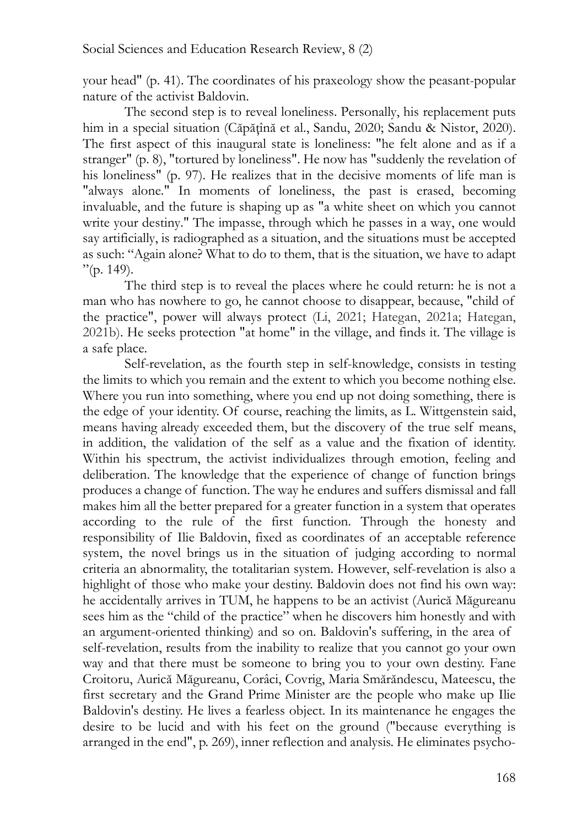your head" (p. 41). The coordinates of his praxeology show the peasant-popular nature of the activist Baldovin.

The second step is to reveal loneliness. Personally, his replacement puts him in a special situation (Căpăţînă et al., Sandu, 2020; Sandu & Nistor, 2020). The first aspect of this inaugural state is loneliness: "he felt alone and as if a stranger" (p. 8), "tortured by loneliness". He now has "suddenly the revelation of his loneliness" (p. 97). He realizes that in the decisive moments of life man is "always alone." In moments of loneliness, the past is erased, becoming invaluable, and the future is shaping up as "a white sheet on which you cannot write your destiny." The impasse, through which he passes in a way, one would say artificially, is radiographed as a situation, and the situations must be accepted as such: "Again alone? What to do to them, that is the situation, we have to adapt  $"$ (p. 149).

The third step is to reveal the places where he could return: he is not a man who has nowhere to go, he cannot choose to disappear, because, "child of the practice", power will always protect (Li, 2021; Hategan, 2021a; Hategan, 2021b). He seeks protection "at home" in the village, and finds it. The village is a safe place.

Self-revelation, as the fourth step in self-knowledge, consists in testing the limits to which you remain and the extent to which you become nothing else. Where you run into something, where you end up not doing something, there is the edge of your identity. Of course, reaching the limits, as L. Wittgenstein said, means having already exceeded them, but the discovery of the true self means, in addition, the validation of the self as a value and the fixation of identity. Within his spectrum, the activist individualizes through emotion, feeling and deliberation. The knowledge that the experience of change of function brings produces a change of function. The way he endures and suffers dismissal and fall makes him all the better prepared for a greater function in a system that operates according to the rule of the first function. Through the honesty and responsibility of Ilie Baldovin, fixed as coordinates of an acceptable reference system, the novel brings us in the situation of judging according to normal criteria an abnormality, the totalitarian system. However, self-revelation is also a highlight of those who make your destiny. Baldovin does not find his own way: he accidentally arrives in TUM, he happens to be an activist (Aurică Măgureanu sees him as the "child of the practice" when he discovers him honestly and with an argument-oriented thinking) and so on. Baldovin's suffering, in the area of self-revelation, results from the inability to realize that you cannot go your own way and that there must be someone to bring you to your own destiny. Fane Croitoru, Aurică Măgureanu, Corâci, Covrig, Maria Smărăndescu, Mateescu, the first secretary and the Grand Prime Minister are the people who make up Ilie Baldovin's destiny. He lives a fearless object. In its maintenance he engages the desire to be lucid and with his feet on the ground ("because everything is arranged in the end", p. 269), inner reflection and analysis. He eliminates psycho-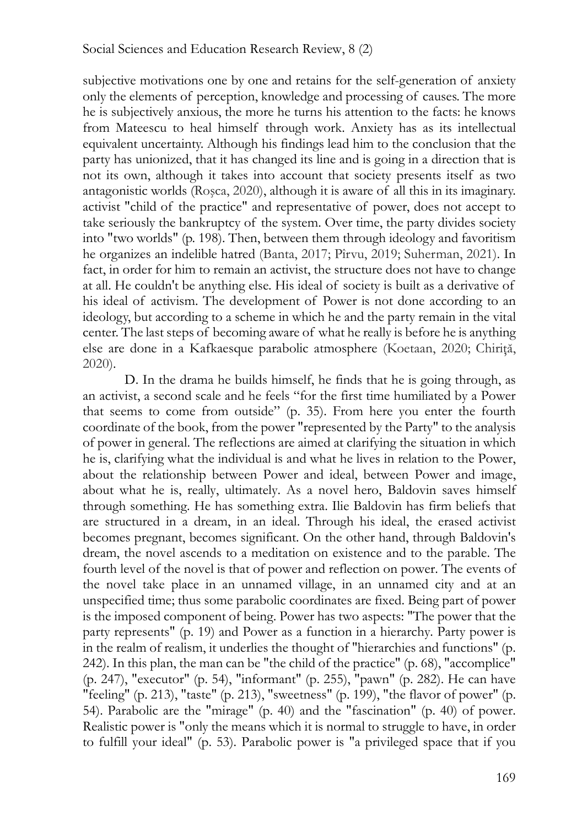subjective motivations one by one and retains for the self-generation of anxiety only the elements of perception, knowledge and processing of causes. The more he is subjectively anxious, the more he turns his attention to the facts: he knows from Mateescu to heal himself through work. Anxiety has as its intellectual equivalent uncertainty. Although his findings lead him to the conclusion that the party has unionized, that it has changed its line and is going in a direction that is not its own, although it takes into account that society presents itself as two antagonistic worlds (Roşca, 2020), although it is aware of all this in its imaginary. activist "child of the practice" and representative of power, does not accept to take seriously the bankruptcy of the system. Over time, the party divides society into "two worlds" (p. 198). Then, between them through ideology and favoritism he organizes an indelible hatred (Banta, 2017; Pîrvu, 2019; Suherman, 2021). In fact, in order for him to remain an activist, the structure does not have to change at all. He couldn't be anything else. His ideal of society is built as a derivative of his ideal of activism. The development of Power is not done according to an ideology, but according to a scheme in which he and the party remain in the vital center. The last steps of becoming aware of what he really is before he is anything else are done in a Kafkaesque parabolic atmosphere (Koetaan, 2020; Chiriţă, 2020).

D. In the drama he builds himself, he finds that he is going through, as an activist, a second scale and he feels "for the first time humiliated by a Power that seems to come from outside" (p. 35). From here you enter the fourth coordinate of the book, from the power "represented by the Party" to the analysis of power in general. The reflections are aimed at clarifying the situation in which he is, clarifying what the individual is and what he lives in relation to the Power, about the relationship between Power and ideal, between Power and image, about what he is, really, ultimately. As a novel hero, Baldovin saves himself through something. He has something extra. Ilie Baldovin has firm beliefs that are structured in a dream, in an ideal. Through his ideal, the erased activist becomes pregnant, becomes significant. On the other hand, through Baldovin's dream, the novel ascends to a meditation on existence and to the parable. The fourth level of the novel is that of power and reflection on power. The events of the novel take place in an unnamed village, in an unnamed city and at an unspecified time; thus some parabolic coordinates are fixed. Being part of power is the imposed component of being. Power has two aspects: "The power that the party represents" (p. 19) and Power as a function in a hierarchy. Party power is in the realm of realism, it underlies the thought of "hierarchies and functions" (p. 242). In this plan, the man can be "the child of the practice" (p. 68), "accomplice" (p. 247), "executor" (p. 54), "informant" (p. 255), "pawn" (p. 282). He can have "feeling" (p. 213), "taste" (p. 213), "sweetness" (p. 199), "the flavor of power" (p. 54). Parabolic are the "mirage" (p. 40) and the "fascination" (p. 40) of power. Realistic power is "only the means which it is normal to struggle to have, in order to fulfill your ideal" (p. 53). Parabolic power is "a privileged space that if you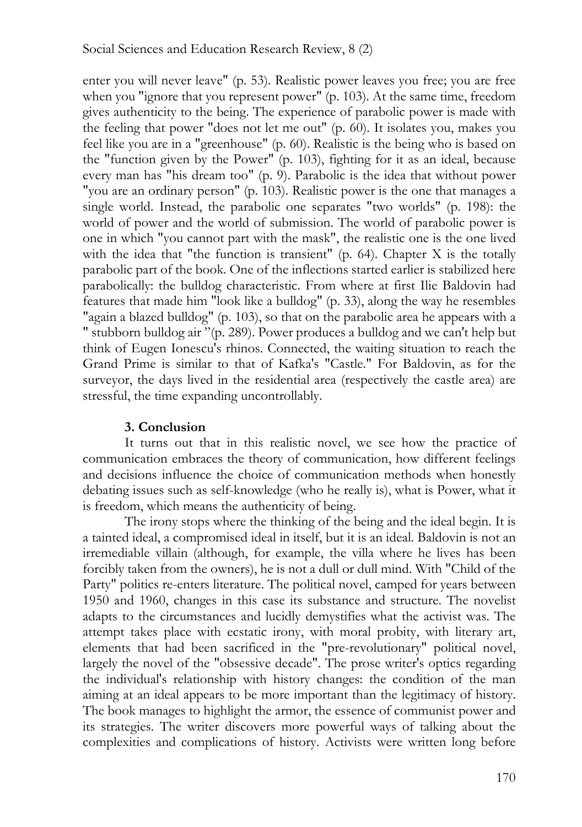enter you will never leave" (p. 53). Realistic power leaves you free; you are free when you "ignore that you represent power" (p. 103). At the same time, freedom gives authenticity to the being. The experience of parabolic power is made with the feeling that power "does not let me out" (p. 60). It isolates you, makes you feel like you are in a "greenhouse" (p. 60). Realistic is the being who is based on the "function given by the Power" (p. 103), fighting for it as an ideal, because every man has "his dream too" (p. 9). Parabolic is the idea that without power "you are an ordinary person" (p. 103). Realistic power is the one that manages a single world. Instead, the parabolic one separates "two worlds" (p. 198): the world of power and the world of submission. The world of parabolic power is one in which "you cannot part with the mask", the realistic one is the one lived with the idea that "the function is transient" (p. 64). Chapter X is the totally parabolic part of the book. One of the inflections started earlier is stabilized here parabolically: the bulldog characteristic. From where at first Ilie Baldovin had features that made him "look like a bulldog" (p. 33), along the way he resembles "again a blazed bulldog" (p. 103), so that on the parabolic area he appears with a " stubborn bulldog air "(p. 289). Power produces a bulldog and we can't help but think of Eugen Ionescu's rhinos. Connected, the waiting situation to reach the Grand Prime is similar to that of Kafka's "Castle." For Baldovin, as for the surveyor, the days lived in the residential area (respectively the castle area) are stressful, the time expanding uncontrollably.

## **3. Conclusion**

It turns out that in this realistic novel, we see how the practice of communication embraces the theory of communication, how different feelings and decisions influence the choice of communication methods when honestly debating issues such as self-knowledge (who he really is), what is Power, what it is freedom, which means the authenticity of being.

The irony stops where the thinking of the being and the ideal begin. It is a tainted ideal, a compromised ideal in itself, but it is an ideal. Baldovin is not an irremediable villain (although, for example, the villa where he lives has been forcibly taken from the owners), he is not a dull or dull mind. With "Child of the Party" politics re-enters literature. The political novel, camped for years between 1950 and 1960, changes in this case its substance and structure. The novelist adapts to the circumstances and lucidly demystifies what the activist was. The attempt takes place with ecstatic irony, with moral probity, with literary art, elements that had been sacrificed in the "pre-revolutionary" political novel, largely the novel of the "obsessive decade". The prose writer's optics regarding the individual's relationship with history changes: the condition of the man aiming at an ideal appears to be more important than the legitimacy of history. The book manages to highlight the armor, the essence of communist power and its strategies. The writer discovers more powerful ways of talking about the complexities and complications of history. Activists were written long before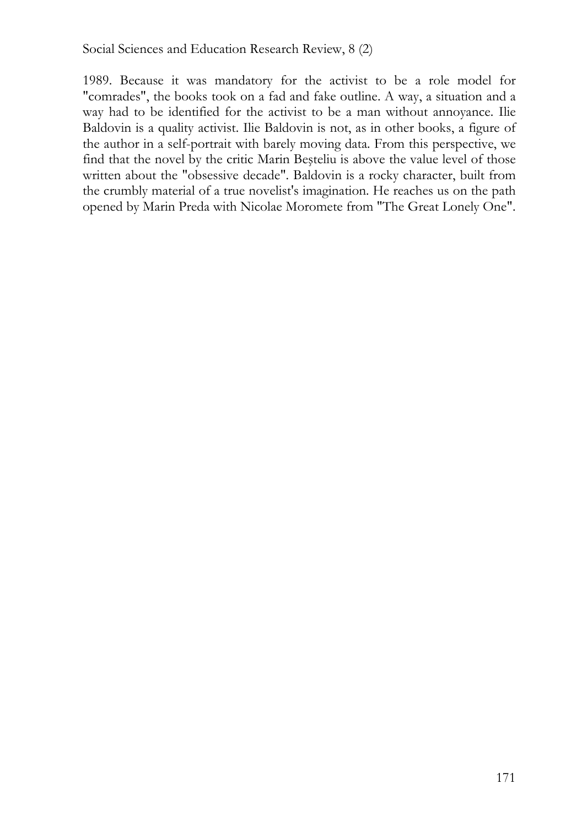1989. Because it was mandatory for the activist to be a role model for "comrades", the books took on a fad and fake outline. A way, a situation and a way had to be identified for the activist to be a man without annoyance. Ilie Baldovin is a quality activist. Ilie Baldovin is not, as in other books, a figure of the author in a self-portrait with barely moving data. From this perspective, we find that the novel by the critic Marin Beşteliu is above the value level of those written about the "obsessive decade". Baldovin is a rocky character, built from the crumbly material of a true novelist's imagination. He reaches us on the path opened by Marin Preda with Nicolae Moromete from "The Great Lonely One".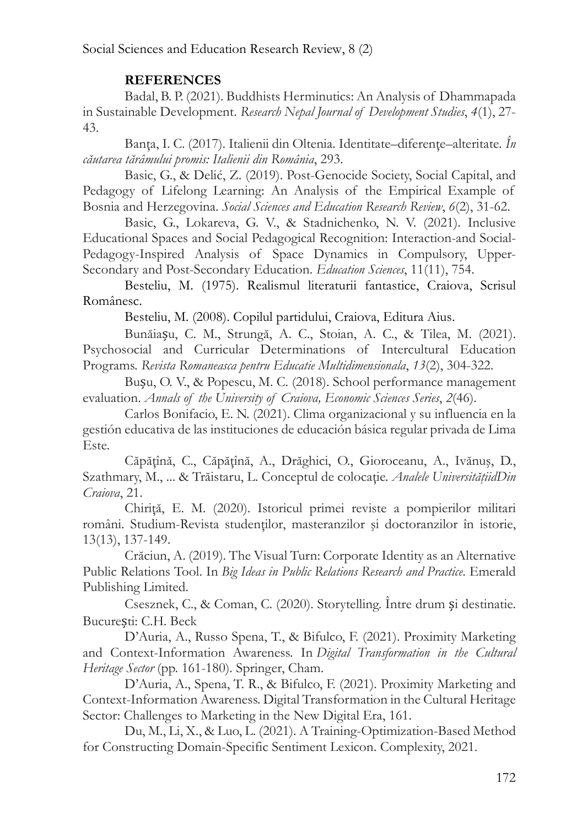# **REFERENCES**

Badal, B. P. (2021). Buddhists Herminutics: An Analysis of Dhammapada in Sustainable Development. *Research Nepal Journal of Development Studies*, *4*(1), 27- 43.

Banţa, I. C. (2017). Italienii din Oltenia. Identitate–diferenţe–alteritate. *În căutarea tărâmului promis: Italienii din România*, 293.

Basic, G., & Delić, Z. (2019). Post-Genocide Society, Social Capital, and Pedagogy of Lifelong Learning: An Analysis of the Empirical Example of Bosnia and Herzegovina. *Social Sciences and Education Research Review*, *6*(2), 31-62.

Basic, G., Lokareva, G. V., & Stadnichenko, N. V. (2021). Inclusive Educational Spaces and Social Pedagogical Recognition: Interaction-and Social-Pedagogy-Inspired Analysis of Space Dynamics in Compulsory, Upper-Secondary and Post-Secondary Education. *Education Sciences*, 11(11), 754.

Besteliu, M. (1975). Realismul literaturii fantastice, Craiova, Scrisul Românesc.

Besteliu, M. (2008). Copilul partidului, Craiova, Editura Aius.

Bunăiașu, C. M., Strungă, A. C., Stoian, A. C., & Tilea, M. (2021). Psychosocial and Curricular Determinations of Intercultural Education Programs. *Revista Romaneasca pentru Educatie Multidimensionala*, *13*(2), 304-322.

Bușu, O. V., & Popescu, M. C. (2018). School performance management evaluation. *Annals of the University of Craiova, Economic Sciences Series*, *2*(46).

Carlos Bonifacio, E. N. (2021). Clima organizacional y su influencia en la gestión educativa de las instituciones de educación básica regular privada de Lima Este.

Căpăţînă, C., Căpăţînă, A., Drăghici, O., Gioroceanu, A., Ivănuş, D., Szathmary, M., ... & Trăistaru, L. Conceptul de colocaţie. *Analele UniversităţiidDin Craiova*, 21.

Chiriţă, E. M. (2020). Istoricul primei reviste a pompierilor militari români. Studium-Revista studenţilor, masteranzilor şi doctoranzilor în istorie, 13(13), 137-149.

Crăciun, A. (2019). The Visual Turn: Corporate Identity as an Alternative Public Relations Tool. In *Big Ideas in Public Relations Research and Practice*. Emerald Publishing Limited.

Csesznek, C., & Coman, C. (2020). Storytelling. Între drum și destinatie. București: C.H. Beck

D'Auria, A., Russo Spena, T., & Bifulco, F. (2021). Proximity Marketing and Context-Information Awareness. In *Digital Transformation in the Cultural Heritage Sector* (pp. 161-180). Springer, Cham.

D'Auria, A., Spena, T. R., & Bifulco, F. (2021). Proximity Marketing and Context-Information Awareness. Digital Transformation in the Cultural Heritage Sector: Challenges to Marketing in the New Digital Era, 161.

Du, M., Li, X., & Luo, L. (2021). A Training-Optimization-Based Method for Constructing Domain-Specific Sentiment Lexicon. Complexity, 2021.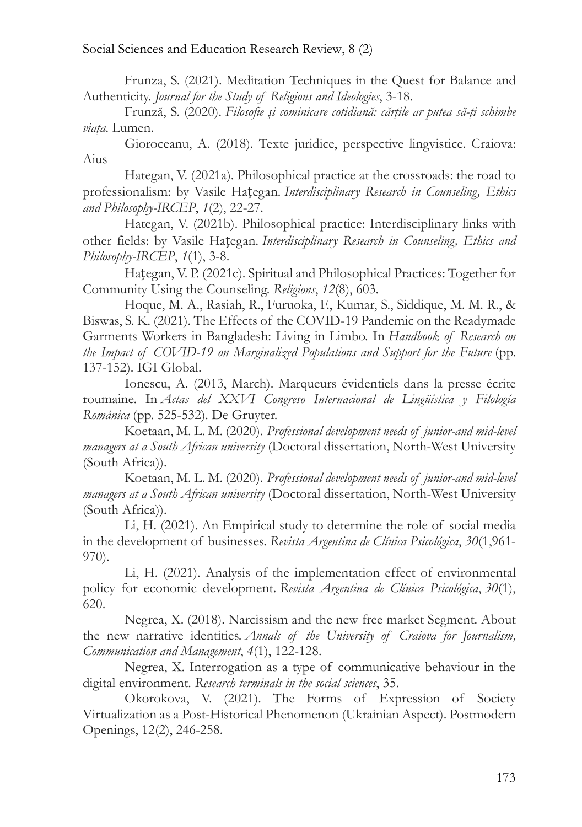Social Sciences and Education Research Review, 8 (2)

Frunza, S. (2021). Meditation Techniques in the Quest for Balance and Authenticity. *Journal for the Study of Religions and Ideologies*, 3-18.

Frunză, S. (2020). *Filosofie şi cominicare cotidiană: cărţile ar putea să-ţi schimbe viaţa*. Lumen.

Gioroceanu, A. (2018). Texte juridice, perspective lingvistice. Craiova: Aius

Hategan, V. (2021a). Philosophical practice at the crossroads: the road to professionalism: by Vasile Hațegan. *Interdisciplinary Research in Counseling, Ethics and Philosophy-IRCEP*, *1*(2), 22-27.

Hategan, V. (2021b). Philosophical practice: Interdisciplinary links with other fields: by Vasile Hațegan. *Interdisciplinary Research in Counseling, Ethics and Philosophy-IRCEP*, *1*(1), 3-8.

Hațegan, V. P. (2021c). Spiritual and Philosophical Practices: Together for Community Using the Counseling. *Religions*, *12*(8), 603.

Hoque, M. A., Rasiah, R., Furuoka, F., Kumar, S., Siddique, M. M. R., & Biswas, S. K. (2021). The Effects of the COVID-19 Pandemic on the Readymade Garments Workers in Bangladesh: Living in Limbo. In *Handbook of Research on the Impact of COVID-19 on Marginalized Populations and Support for the Future* (pp. 137-152). IGI Global.

Ionescu, A. (2013, March). Marqueurs évidentiels dans la presse écrite roumaine. In *Actas del XXVI Congreso Internacional de Lingüística y Filología Románica* (pp. 525-532). De Gruyter.

Koetaan, M. L. M. (2020). *Professional development needs of junior-and mid-level managers at a South African university* (Doctoral dissertation, North-West University (South Africa)).

Koetaan, M. L. M. (2020). *Professional development needs of junior-and mid-level managers at a South African university* (Doctoral dissertation, North-West University (South Africa)).

Li, H. (2021). An Empirical study to determine the role of social media in the development of businesses. *Revista Argentina de Clínica Psicológica*, *30*(1,961- 970).

Li, H. (2021). Analysis of the implementation effect of environmental policy for economic development. *Revista Argentina de Clínica Psicológica*, *30*(1), 620.

Negrea, X. (2018). Narcissism and the new free market Segment. About the new narrative identities. *Annals of the University of Craiova for Journalism, Communication and Management*, *4*(1), 122-128.

Negrea, X. Interrogation as a type of communicative behaviour in the digital environment. *Research terminals in the social sciences*, 35.

Okorokova, V. (2021). The Forms of Expression of Society Virtualization as a Post-Historical Phenomenon (Ukrainian Aspect). Postmodern Openings, 12(2), 246-258.